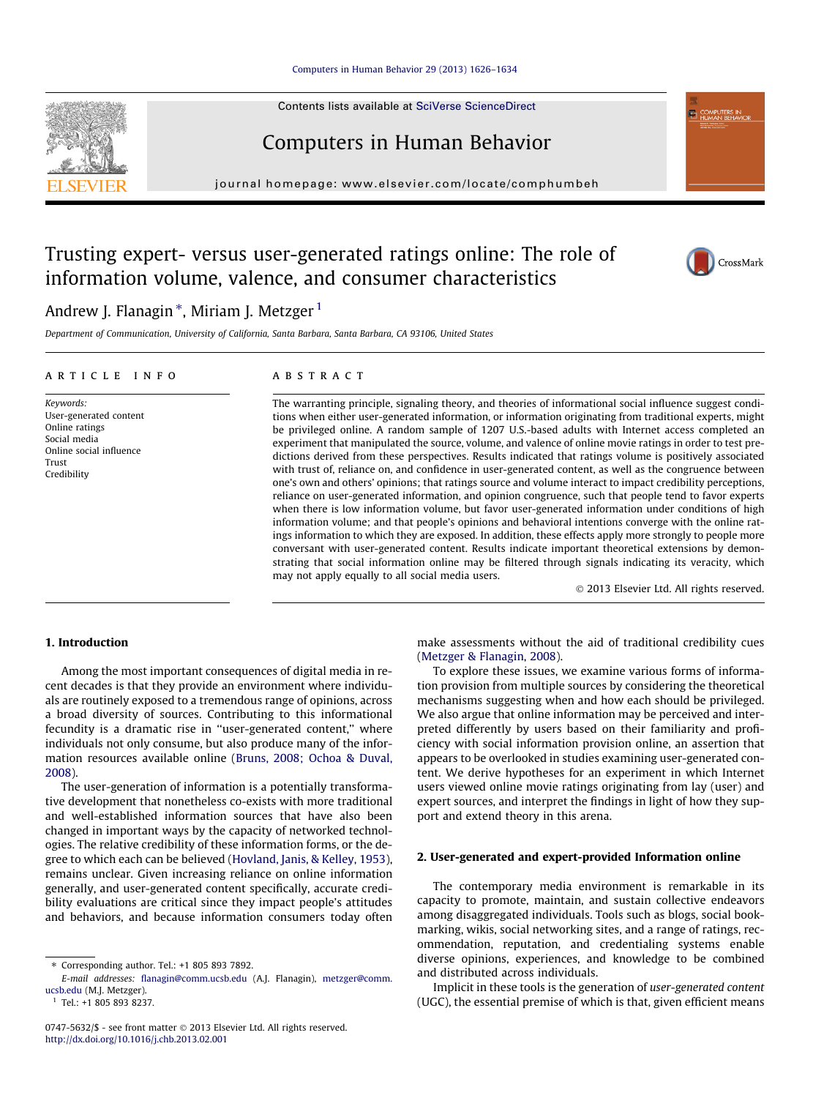Contents lists available at [SciVerse ScienceDirect](http://www.sciencedirect.com/science/journal/07475632)

# Computers in Human Behavior

journal homepage: [www.elsevier.com/locate/comphumbeh](http://www.elsevier.com/locate/comphumbeh)

## Trusting expert- versus user-generated ratings online: The role of information volume, valence, and consumer characteristics

## Andrew J. Flanagin \*, Miriam J. Metzger <sup>1</sup>

Department of Communication, University of California, Santa Barbara, Santa Barbara, CA 93106, United States

#### article info

Keywords: User-generated content Online ratings Social media Online social influence Trust Credibility

#### **ABSTRACT**

The warranting principle, signaling theory, and theories of informational social influence suggest conditions when either user-generated information, or information originating from traditional experts, might be privileged online. A random sample of 1207 U.S.-based adults with Internet access completed an experiment that manipulated the source, volume, and valence of online movie ratings in order to test predictions derived from these perspectives. Results indicated that ratings volume is positively associated with trust of, reliance on, and confidence in user-generated content, as well as the congruence between one's own and others' opinions; that ratings source and volume interact to impact credibility perceptions, reliance on user-generated information, and opinion congruence, such that people tend to favor experts when there is low information volume, but favor user-generated information under conditions of high information volume; and that people's opinions and behavioral intentions converge with the online ratings information to which they are exposed. In addition, these effects apply more strongly to people more conversant with user-generated content. Results indicate important theoretical extensions by demonstrating that social information online may be filtered through signals indicating its veracity, which may not apply equally to all social media users.

- 2013 Elsevier Ltd. All rights reserved.

#### 1. Introduction

Among the most important consequences of digital media in recent decades is that they provide an environment where individuals are routinely exposed to a tremendous range of opinions, across a broad diversity of sources. Contributing to this informational fecundity is a dramatic rise in ''user-generated content,'' where individuals not only consume, but also produce many of the information resources available online ([Bruns, 2008; Ochoa & Duval,](#page-8-0) [2008\)](#page-8-0).

The user-generation of information is a potentially transformative development that nonetheless co-exists with more traditional and well-established information sources that have also been changed in important ways by the capacity of networked technologies. The relative credibility of these information forms, or the degree to which each can be believed ([Hovland, Janis, & Kelley, 1953\)](#page-8-0), remains unclear. Given increasing reliance on online information generally, and user-generated content specifically, accurate credibility evaluations are critical since they impact people's attitudes and behaviors, and because information consumers today often make assessments without the aid of traditional credibility cues ([Metzger & Flanagin, 2008](#page-8-0)).

To explore these issues, we examine various forms of information provision from multiple sources by considering the theoretical mechanisms suggesting when and how each should be privileged. We also argue that online information may be perceived and interpreted differently by users based on their familiarity and proficiency with social information provision online, an assertion that appears to be overlooked in studies examining user-generated content. We derive hypotheses for an experiment in which Internet users viewed online movie ratings originating from lay (user) and expert sources, and interpret the findings in light of how they support and extend theory in this arena.

## 2. User-generated and expert-provided Information online

The contemporary media environment is remarkable in its capacity to promote, maintain, and sustain collective endeavors among disaggregated individuals. Tools such as blogs, social bookmarking, wikis, social networking sites, and a range of ratings, recommendation, reputation, and credentialing systems enable diverse opinions, experiences, and knowledge to be combined and distributed across individuals.

Implicit in these tools is the generation of user-generated content (UGC), the essential premise of which is that, given efficient means





<sup>⇑</sup> Corresponding author. Tel.: +1 805 893 7892.

E-mail addresses: [flanagin@comm.ucsb.edu](mailto:flanagin@comm.ucsb.edu) (A.J. Flanagin), [metzger@comm.](mailto:metzger@comm.ucsb.edu) [ucsb.edu](mailto:metzger@comm.ucsb.edu) (M.J. Metzger).

 $1$  Tel.: +1 805 893 8237.

<sup>0747-5632/\$ -</sup> see front matter © 2013 Elsevier Ltd. All rights reserved. <http://dx.doi.org/10.1016/j.chb.2013.02.001>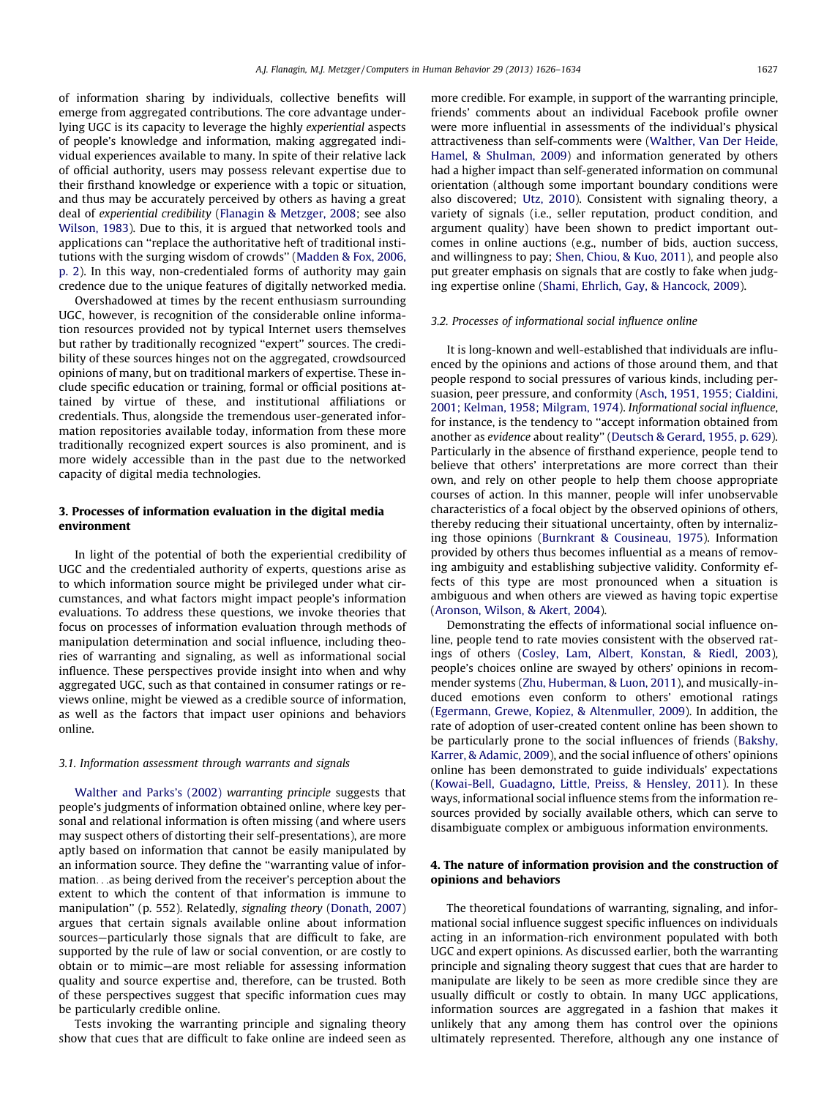of information sharing by individuals, collective benefits will emerge from aggregated contributions. The core advantage underlying UGC is its capacity to leverage the highly experiential aspects of people's knowledge and information, making aggregated individual experiences available to many. In spite of their relative lack of official authority, users may possess relevant expertise due to their firsthand knowledge or experience with a topic or situation, and thus may be accurately perceived by others as having a great deal of experiential credibility [\(Flanagin & Metzger, 2008](#page-8-0); see also [Wilson, 1983](#page-8-0)). Due to this, it is argued that networked tools and applications can ''replace the authoritative heft of traditional institutions with the surging wisdom of crowds'' [\(Madden & Fox, 2006,](#page-8-0) [p. 2](#page-8-0)). In this way, non-credentialed forms of authority may gain credence due to the unique features of digitally networked media.

Overshadowed at times by the recent enthusiasm surrounding UGC, however, is recognition of the considerable online information resources provided not by typical Internet users themselves but rather by traditionally recognized ''expert'' sources. The credibility of these sources hinges not on the aggregated, crowdsourced opinions of many, but on traditional markers of expertise. These include specific education or training, formal or official positions attained by virtue of these, and institutional affiliations or credentials. Thus, alongside the tremendous user-generated information repositories available today, information from these more traditionally recognized expert sources is also prominent, and is more widely accessible than in the past due to the networked capacity of digital media technologies.

## 3. Processes of information evaluation in the digital media environment

In light of the potential of both the experiential credibility of UGC and the credentialed authority of experts, questions arise as to which information source might be privileged under what circumstances, and what factors might impact people's information evaluations. To address these questions, we invoke theories that focus on processes of information evaluation through methods of manipulation determination and social influence, including theories of warranting and signaling, as well as informational social influence. These perspectives provide insight into when and why aggregated UGC, such as that contained in consumer ratings or reviews online, might be viewed as a credible source of information, as well as the factors that impact user opinions and behaviors online.

#### 3.1. Information assessment through warrants and signals

[Walther and Parks's \(2002\)](#page-8-0) warranting principle suggests that people's judgments of information obtained online, where key personal and relational information is often missing (and where users may suspect others of distorting their self-presentations), are more aptly based on information that cannot be easily manipulated by an information source. They define the ''warranting value of information...as being derived from the receiver's perception about the extent to which the content of that information is immune to manipulation'' (p. 552). Relatedly, signaling theory [\(Donath, 2007\)](#page-8-0) argues that certain signals available online about information sources—particularly those signals that are difficult to fake, are supported by the rule of law or social convention, or are costly to obtain or to mimic—are most reliable for assessing information quality and source expertise and, therefore, can be trusted. Both of these perspectives suggest that specific information cues may be particularly credible online.

Tests invoking the warranting principle and signaling theory show that cues that are difficult to fake online are indeed seen as more credible. For example, in support of the warranting principle, friends' comments about an individual Facebook profile owner were more influential in assessments of the individual's physical attractiveness than self-comments were ([Walther, Van Der Heide,](#page-8-0) [Hamel, & Shulman, 2009\)](#page-8-0) and information generated by others had a higher impact than self-generated information on communal orientation (although some important boundary conditions were also discovered; [Utz, 2010\)](#page-8-0). Consistent with signaling theory, a variety of signals (i.e., seller reputation, product condition, and argument quality) have been shown to predict important outcomes in online auctions (e.g., number of bids, auction success, and willingness to pay; [Shen, Chiou, & Kuo, 2011](#page-8-0)), and people also put greater emphasis on signals that are costly to fake when judging expertise online ([Shami, Ehrlich, Gay, & Hancock, 2009\)](#page-8-0).

#### 3.2. Processes of informational social influence online

It is long-known and well-established that individuals are influenced by the opinions and actions of those around them, and that people respond to social pressures of various kinds, including persuasion, peer pressure, and conformity ([Asch, 1951, 1955; Cialdini,](#page-8-0) [2001; Kelman, 1958; Milgram, 1974](#page-8-0)). Informational social influence, for instance, is the tendency to ''accept information obtained from another as evidence about reality'' [\(Deutsch & Gerard, 1955, p. 629\)](#page-8-0). Particularly in the absence of firsthand experience, people tend to believe that others' interpretations are more correct than their own, and rely on other people to help them choose appropriate courses of action. In this manner, people will infer unobservable characteristics of a focal object by the observed opinions of others, thereby reducing their situational uncertainty, often by internalizing those opinions [\(Burnkrant & Cousineau, 1975](#page-8-0)). Information provided by others thus becomes influential as a means of removing ambiguity and establishing subjective validity. Conformity effects of this type are most pronounced when a situation is ambiguous and when others are viewed as having topic expertise ([Aronson, Wilson, & Akert, 2004\)](#page-8-0).

Demonstrating the effects of informational social influence online, people tend to rate movies consistent with the observed ratings of others ([Cosley, Lam, Albert, Konstan, & Riedl, 2003\)](#page-8-0), people's choices online are swayed by others' opinions in recommender systems [\(Zhu, Huberman, & Luon, 2011](#page-8-0)), and musically-induced emotions even conform to others' emotional ratings ([Egermann, Grewe, Kopiez, & Altenmuller, 2009](#page-8-0)). In addition, the rate of adoption of user-created content online has been shown to be particularly prone to the social influences of friends ([Bakshy,](#page-8-0) [Karrer, & Adamic, 2009](#page-8-0)), and the social influence of others' opinions online has been demonstrated to guide individuals' expectations ([Kowai-Bell, Guadagno, Little, Preiss, & Hensley, 2011](#page-8-0)). In these ways, informational social influence stems from the information resources provided by socially available others, which can serve to disambiguate complex or ambiguous information environments.

#### 4. The nature of information provision and the construction of opinions and behaviors

The theoretical foundations of warranting, signaling, and informational social influence suggest specific influences on individuals acting in an information-rich environment populated with both UGC and expert opinions. As discussed earlier, both the warranting principle and signaling theory suggest that cues that are harder to manipulate are likely to be seen as more credible since they are usually difficult or costly to obtain. In many UGC applications, information sources are aggregated in a fashion that makes it unlikely that any among them has control over the opinions ultimately represented. Therefore, although any one instance of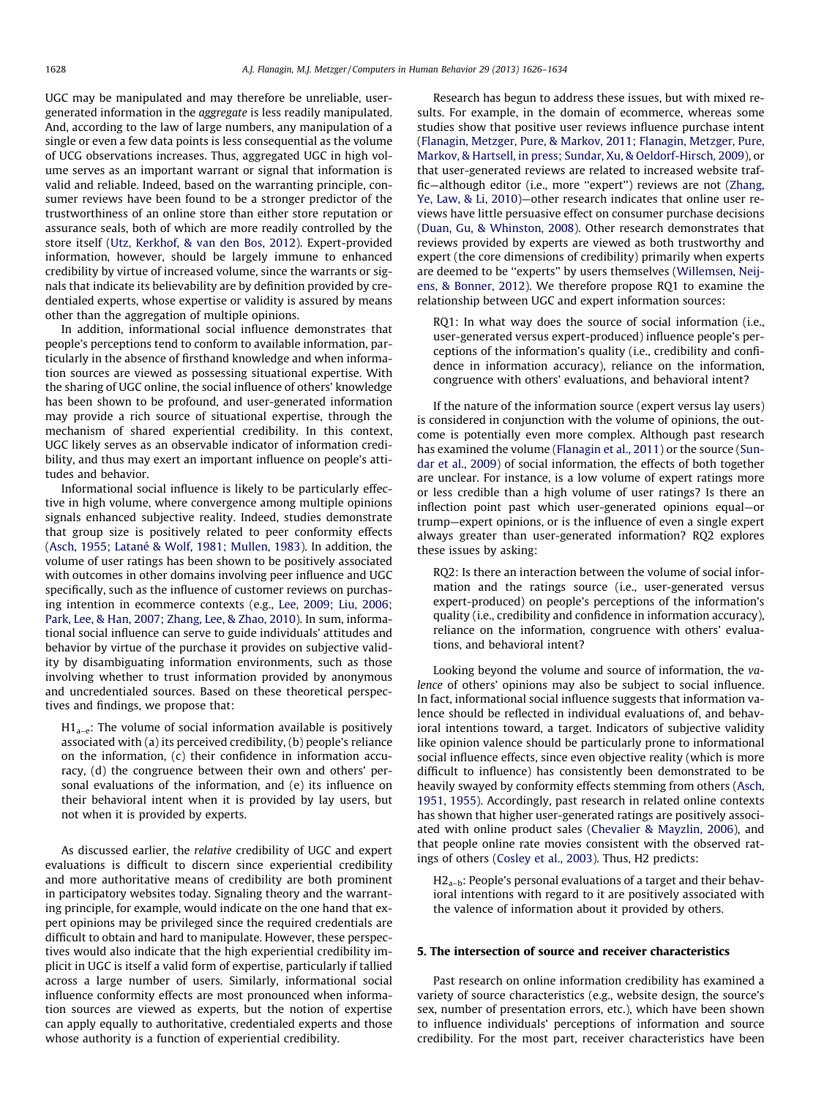UGC may be manipulated and may therefore be unreliable, usergenerated information in the aggregate is less readily manipulated. And, according to the law of large numbers, any manipulation of a single or even a few data points is less consequential as the volume of UCG observations increases. Thus, aggregated UGC in high volume serves as an important warrant or signal that information is valid and reliable. Indeed, based on the warranting principle, consumer reviews have been found to be a stronger predictor of the trustworthiness of an online store than either store reputation or assurance seals, both of which are more readily controlled by the store itself ([Utz, Kerkhof, & van den Bos, 2012\)](#page-8-0). Expert-provided information, however, should be largely immune to enhanced credibility by virtue of increased volume, since the warrants or signals that indicate its believability are by definition provided by credentialed experts, whose expertise or validity is assured by means other than the aggregation of multiple opinions.

In addition, informational social influence demonstrates that people's perceptions tend to conform to available information, particularly in the absence of firsthand knowledge and when information sources are viewed as possessing situational expertise. With the sharing of UGC online, the social influence of others' knowledge has been shown to be profound, and user-generated information may provide a rich source of situational expertise, through the mechanism of shared experiential credibility. In this context, UGC likely serves as an observable indicator of information credibility, and thus may exert an important influence on people's attitudes and behavior.

Informational social influence is likely to be particularly effective in high volume, where convergence among multiple opinions signals enhanced subjective reality. Indeed, studies demonstrate that group size is positively related to peer conformity effects ([Asch, 1955; Latané & Wolf, 1981; Mullen, 1983](#page-8-0)). In addition, the volume of user ratings has been shown to be positively associated with outcomes in other domains involving peer influence and UGC specifically, such as the influence of customer reviews on purchasing intention in ecommerce contexts (e.g., [Lee, 2009; Liu, 2006;](#page-8-0) [Park, Lee, & Han, 2007; Zhang, Lee, & Zhao, 2010\)](#page-8-0). In sum, informational social influence can serve to guide individuals' attitudes and behavior by virtue of the purchase it provides on subjective validity by disambiguating information environments, such as those involving whether to trust information provided by anonymous and uncredentialed sources. Based on these theoretical perspectives and findings, we propose that:

 $H1_{a-e}$ : The volume of social information available is positively associated with (a) its perceived credibility, (b) people's reliance on the information, (c) their confidence in information accuracy, (d) the congruence between their own and others' personal evaluations of the information, and (e) its influence on their behavioral intent when it is provided by lay users, but not when it is provided by experts.

As discussed earlier, the relative credibility of UGC and expert evaluations is difficult to discern since experiential credibility and more authoritative means of credibility are both prominent in participatory websites today. Signaling theory and the warranting principle, for example, would indicate on the one hand that expert opinions may be privileged since the required credentials are difficult to obtain and hard to manipulate. However, these perspectives would also indicate that the high experiential credibility implicit in UGC is itself a valid form of expertise, particularly if tallied across a large number of users. Similarly, informational social influence conformity effects are most pronounced when information sources are viewed as experts, but the notion of expertise can apply equally to authoritative, credentialed experts and those whose authority is a function of experiential credibility.

Research has begun to address these issues, but with mixed results. For example, in the domain of ecommerce, whereas some studies show that positive user reviews influence purchase intent ([Flanagin, Metzger, Pure, & Markov, 2011; Flanagin, Metzger, Pure,](#page-8-0) [Markov, & Hartsell, in press; Sundar, Xu, & Oeldorf-Hirsch, 2009](#page-8-0)), or that user-generated reviews are related to increased website traf-fic-although editor (i.e., more "expert") reviews are not ([Zhang,](#page-8-0) [Ye, Law, & Li, 2010](#page-8-0))—other research indicates that online user reviews have little persuasive effect on consumer purchase decisions ([Duan, Gu, & Whinston, 2008](#page-8-0)). Other research demonstrates that reviews provided by experts are viewed as both trustworthy and expert (the core dimensions of credibility) primarily when experts are deemed to be ''experts'' by users themselves [\(Willemsen, Neij](#page-8-0)[ens, & Bonner, 2012\)](#page-8-0). We therefore propose RQ1 to examine the relationship between UGC and expert information sources:

RQ1: In what way does the source of social information (i.e., user-generated versus expert-produced) influence people's perceptions of the information's quality (i.e., credibility and confidence in information accuracy), reliance on the information, congruence with others' evaluations, and behavioral intent?

If the nature of the information source (expert versus lay users) is considered in conjunction with the volume of opinions, the outcome is potentially even more complex. Although past research has examined the volume ([Flanagin et al., 2011\)](#page-8-0) or the source [\(Sun](#page-8-0)[dar et al., 2009](#page-8-0)) of social information, the effects of both together are unclear. For instance, is a low volume of expert ratings more or less credible than a high volume of user ratings? Is there an inflection point past which user-generated opinions equal—or trump—expert opinions, or is the influence of even a single expert always greater than user-generated information? RQ2 explores these issues by asking:

RQ2: Is there an interaction between the volume of social information and the ratings source (i.e., user-generated versus expert-produced) on people's perceptions of the information's quality (i.e., credibility and confidence in information accuracy), reliance on the information, congruence with others' evaluations, and behavioral intent?

Looking beyond the volume and source of information, the valence of others' opinions may also be subject to social influence. In fact, informational social influence suggests that information valence should be reflected in individual evaluations of, and behavioral intentions toward, a target. Indicators of subjective validity like opinion valence should be particularly prone to informational social influence effects, since even objective reality (which is more difficult to influence) has consistently been demonstrated to be heavily swayed by conformity effects stemming from others [\(Asch,](#page-8-0) [1951, 1955](#page-8-0)). Accordingly, past research in related online contexts has shown that higher user-generated ratings are positively associated with online product sales ([Chevalier & Mayzlin, 2006](#page-8-0)), and that people online rate movies consistent with the observed ratings of others [\(Cosley et al., 2003](#page-8-0)). Thus, H2 predicts:

H2<sub>a-b</sub>: People's personal evaluations of a target and their behavioral intentions with regard to it are positively associated with the valence of information about it provided by others.

#### 5. The intersection of source and receiver characteristics

Past research on online information credibility has examined a variety of source characteristics (e.g., website design, the source's sex, number of presentation errors, etc.), which have been shown to influence individuals' perceptions of information and source credibility. For the most part, receiver characteristics have been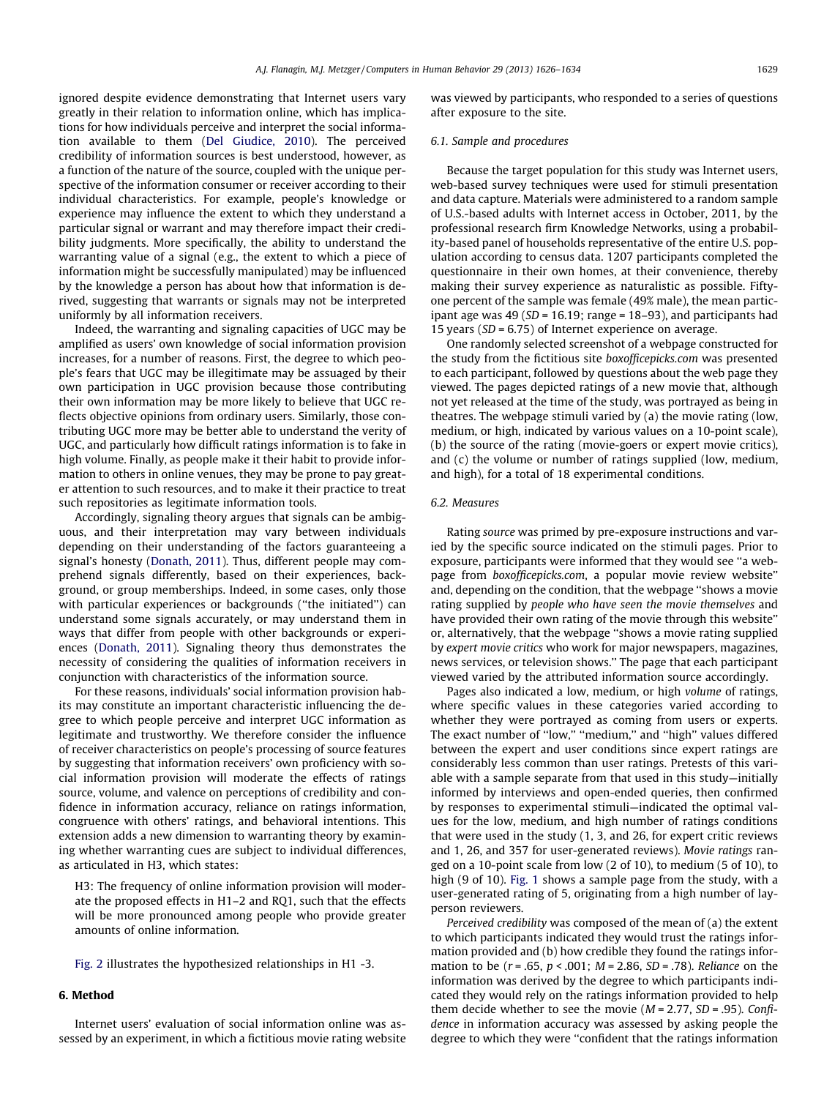ignored despite evidence demonstrating that Internet users vary greatly in their relation to information online, which has implications for how individuals perceive and interpret the social information available to them ([Del Giudice, 2010\)](#page-8-0). The perceived credibility of information sources is best understood, however, as a function of the nature of the source, coupled with the unique perspective of the information consumer or receiver according to their individual characteristics. For example, people's knowledge or experience may influence the extent to which they understand a particular signal or warrant and may therefore impact their credibility judgments. More specifically, the ability to understand the warranting value of a signal (e.g., the extent to which a piece of information might be successfully manipulated) may be influenced by the knowledge a person has about how that information is derived, suggesting that warrants or signals may not be interpreted uniformly by all information receivers.

Indeed, the warranting and signaling capacities of UGC may be amplified as users' own knowledge of social information provision increases, for a number of reasons. First, the degree to which people's fears that UGC may be illegitimate may be assuaged by their own participation in UGC provision because those contributing their own information may be more likely to believe that UGC reflects objective opinions from ordinary users. Similarly, those contributing UGC more may be better able to understand the verity of UGC, and particularly how difficult ratings information is to fake in high volume. Finally, as people make it their habit to provide information to others in online venues, they may be prone to pay greater attention to such resources, and to make it their practice to treat such repositories as legitimate information tools.

Accordingly, signaling theory argues that signals can be ambiguous, and their interpretation may vary between individuals depending on their understanding of the factors guaranteeing a signal's honesty [\(Donath, 2011](#page-8-0)). Thus, different people may comprehend signals differently, based on their experiences, background, or group memberships. Indeed, in some cases, only those with particular experiences or backgrounds ("the initiated") can understand some signals accurately, or may understand them in ways that differ from people with other backgrounds or experiences [\(Donath, 2011\)](#page-8-0). Signaling theory thus demonstrates the necessity of considering the qualities of information receivers in conjunction with characteristics of the information source.

For these reasons, individuals' social information provision habits may constitute an important characteristic influencing the degree to which people perceive and interpret UGC information as legitimate and trustworthy. We therefore consider the influence of receiver characteristics on people's processing of source features by suggesting that information receivers' own proficiency with social information provision will moderate the effects of ratings source, volume, and valence on perceptions of credibility and confidence in information accuracy, reliance on ratings information, congruence with others' ratings, and behavioral intentions. This extension adds a new dimension to warranting theory by examining whether warranting cues are subject to individual differences, as articulated in H3, which states:

H3: The frequency of online information provision will moderate the proposed effects in H1–2 and RQ1, such that the effects will be more pronounced among people who provide greater amounts of online information.

[Fig. 2](#page-4-0) illustrates the hypothesized relationships in H1 -3.

## 6. Method

Internet users' evaluation of social information online was assessed by an experiment, in which a fictitious movie rating website was viewed by participants, who responded to a series of questions after exposure to the site.

#### 6.1. Sample and procedures

Because the target population for this study was Internet users, web-based survey techniques were used for stimuli presentation and data capture. Materials were administered to a random sample of U.S.-based adults with Internet access in October, 2011, by the professional research firm Knowledge Networks, using a probability-based panel of households representative of the entire U.S. population according to census data. 1207 participants completed the questionnaire in their own homes, at their convenience, thereby making their survey experience as naturalistic as possible. Fiftyone percent of the sample was female (49% male), the mean participant age was  $49$  (SD = 16.19; range = 18–93), and participants had 15 years (SD = 6.75) of Internet experience on average.

One randomly selected screenshot of a webpage constructed for the study from the fictitious site boxofficepicks.com was presented to each participant, followed by questions about the web page they viewed. The pages depicted ratings of a new movie that, although not yet released at the time of the study, was portrayed as being in theatres. The webpage stimuli varied by (a) the movie rating (low, medium, or high, indicated by various values on a 10-point scale), (b) the source of the rating (movie-goers or expert movie critics), and (c) the volume or number of ratings supplied (low, medium, and high), for a total of 18 experimental conditions.

#### 6.2. Measures

Rating source was primed by pre-exposure instructions and varied by the specific source indicated on the stimuli pages. Prior to exposure, participants were informed that they would see ''a webpage from boxofficepicks.com, a popular movie review website'' and, depending on the condition, that the webpage ''shows a movie rating supplied by people who have seen the movie themselves and have provided their own rating of the movie through this website'' or, alternatively, that the webpage ''shows a movie rating supplied by expert movie critics who work for major newspapers, magazines, news services, or television shows.'' The page that each participant viewed varied by the attributed information source accordingly.

Pages also indicated a low, medium, or high volume of ratings, where specific values in these categories varied according to whether they were portrayed as coming from users or experts. The exact number of ''low,'' ''medium,'' and ''high'' values differed between the expert and user conditions since expert ratings are considerably less common than user ratings. Pretests of this variable with a sample separate from that used in this study—initially informed by interviews and open-ended queries, then confirmed by responses to experimental stimuli—indicated the optimal values for the low, medium, and high number of ratings conditions that were used in the study (1, 3, and 26, for expert critic reviews and 1, 26, and 357 for user-generated reviews). Movie ratings ranged on a 10-point scale from low (2 of 10), to medium (5 of 10), to high (9 of 10). [Fig. 1](#page-4-0) shows a sample page from the study, with a user-generated rating of 5, originating from a high number of layperson reviewers.

Perceived credibility was composed of the mean of (a) the extent to which participants indicated they would trust the ratings information provided and (b) how credible they found the ratings information to be ( $r = .65$ ,  $p < .001$ ;  $M = 2.86$ ,  $SD = .78$ ). Reliance on the information was derived by the degree to which participants indicated they would rely on the ratings information provided to help them decide whether to see the movie  $(M = 2.77, SD = .95)$ . Confidence in information accuracy was assessed by asking people the degree to which they were ''confident that the ratings information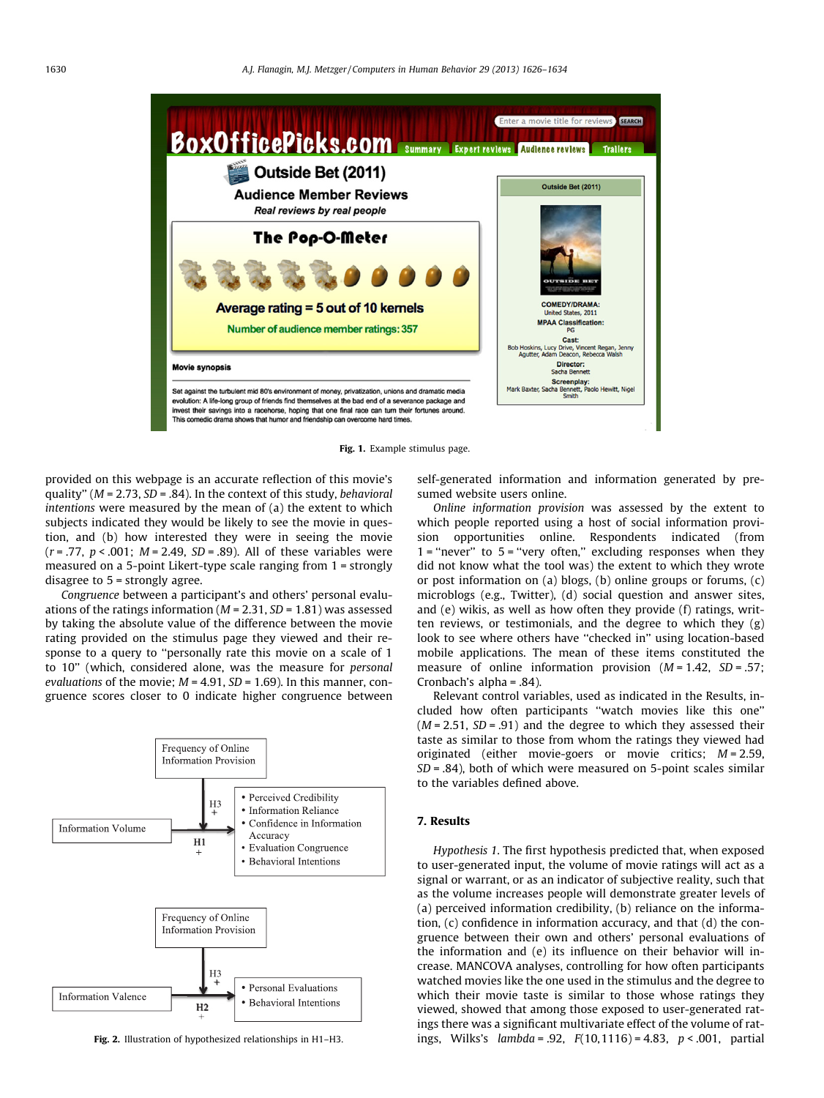<span id="page-4-0"></span>

Fig. 1. Example stimulus page.

provided on this webpage is an accurate reflection of this movie's quality" ( $M = 2.73$ ,  $SD = .84$ ). In the context of this study, behavioral intentions were measured by the mean of (a) the extent to which subjects indicated they would be likely to see the movie in question, and (b) how interested they were in seeing the movie  $(r = .77, p < .001; M = 2.49, SD = .89)$ . All of these variables were measured on a 5-point Likert-type scale ranging from 1 = strongly disagree to 5 = strongly agree.

Congruence between a participant's and others' personal evaluations of the ratings information ( $M = 2.31$ ,  $SD = 1.81$ ) was assessed by taking the absolute value of the difference between the movie rating provided on the stimulus page they viewed and their response to a query to ''personally rate this movie on a scale of 1 to 10'' (which, considered alone, was the measure for personal evaluations of the movie;  $M = 4.91$ ,  $SD = 1.69$ ). In this manner, congruence scores closer to 0 indicate higher congruence between



self-generated information and information generated by presumed website users online.

Online information provision was assessed by the extent to which people reported using a host of social information provision opportunities online. Respondents indicated (from  $1$  = "never" to  $5$  = "very often," excluding responses when they did not know what the tool was) the extent to which they wrote or post information on (a) blogs, (b) online groups or forums, (c) microblogs (e.g., Twitter), (d) social question and answer sites, and (e) wikis, as well as how often they provide (f) ratings, written reviews, or testimonials, and the degree to which they (g) look to see where others have ''checked in'' using location-based mobile applications. The mean of these items constituted the measure of online information provision  $(M = 1.42, SD = .57;$ Cronbach's alpha = .84).

Relevant control variables, used as indicated in the Results, included how often participants ''watch movies like this one''  $(M = 2.51, SD = .91)$  and the degree to which they assessed their taste as similar to those from whom the ratings they viewed had originated (either movie-goers or movie critics; M = 2.59,  $SD = .84$ ), both of which were measured on 5-point scales similar to the variables defined above.

## 7. Results

Hypothesis 1. The first hypothesis predicted that, when exposed to user-generated input, the volume of movie ratings will act as a signal or warrant, or as an indicator of subjective reality, such that as the volume increases people will demonstrate greater levels of (a) perceived information credibility, (b) reliance on the information, (c) confidence in information accuracy, and that (d) the congruence between their own and others' personal evaluations of the information and (e) its influence on their behavior will increase. MANCOVA analyses, controlling for how often participants watched movies like the one used in the stimulus and the degree to which their movie taste is similar to those whose ratings they viewed, showed that among those exposed to user-generated ratings there was a significant multivariate effect of the volume of rat-Fig. 2. Illustration of hypothesized relationships in H1–H3. ings, Wilks's lambda = .92,  $F(10,1116) = 4.83$ ,  $p < .001$ , partial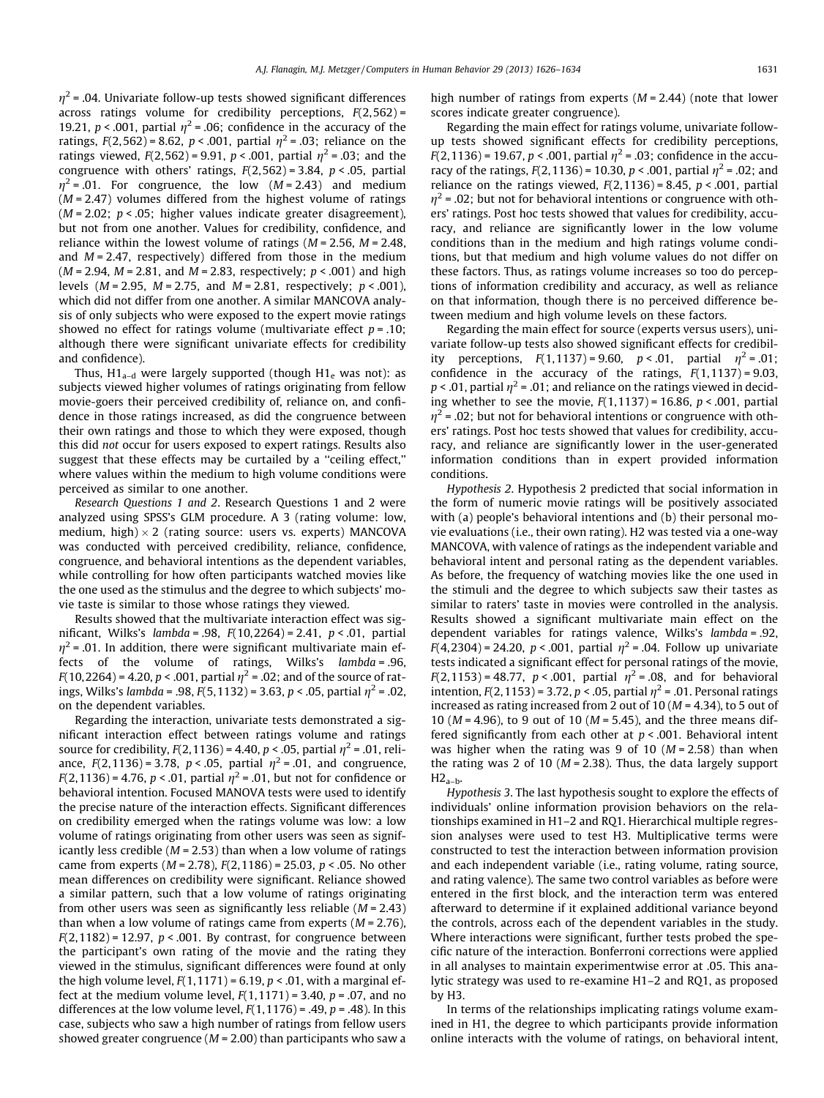$\eta^2$  = .04. Univariate follow-up tests showed significant differences across ratings volume for credibility perceptions,  $F(2,562) =$ 19.21,  $p < .001$ , partial  $n^2 = .06$ ; confidence in the accuracy of the ratings,  $F(2,562) = 8.62$ ,  $p < .001$ , partial  $\eta^2 = .03$ ; reliance on the ratings viewed,  $F(2,562) = 9.91$ ,  $p < .001$ , partial  $\eta^2 = .03$ ; and the congruence with others' ratings,  $F(2,562) = 3.84$ ,  $p < .05$ , partial  $\eta^2$  = .01. For congruence, the low (*M* = 2.43) and medium  $(M = 2.47)$  volumes differed from the highest volume of ratings  $(M = 2.02; p < .05;$  higher values indicate greater disagreement), but not from one another. Values for credibility, confidence, and reliance within the lowest volume of ratings ( $M = 2.56$ ,  $M = 2.48$ , and  $M = 2.47$ , respectively) differed from those in the medium  $(M = 2.94, M = 2.81, and M = 2.83, respectively; p < .001)$  and high levels ( $M = 2.95$ ,  $M = 2.75$ , and  $M = 2.81$ , respectively;  $p < .001$ ), which did not differ from one another. A similar MANCOVA analysis of only subjects who were exposed to the expert movie ratings showed no effect for ratings volume (multivariate effect  $p = .10$ ; although there were significant univariate effects for credibility and confidence).

Thus,  $H1_{a-d}$  were largely supported (though  $H1_e$  was not): as subjects viewed higher volumes of ratings originating from fellow movie-goers their perceived credibility of, reliance on, and confidence in those ratings increased, as did the congruence between their own ratings and those to which they were exposed, though this did not occur for users exposed to expert ratings. Results also suggest that these effects may be curtailed by a ''ceiling effect,'' where values within the medium to high volume conditions were perceived as similar to one another.

Research Questions 1 and 2. Research Questions 1 and 2 were analyzed using SPSS's GLM procedure. A 3 (rating volume: low, medium, high)  $\times$  2 (rating source: users vs. experts) MANCOVA was conducted with perceived credibility, reliance, confidence, congruence, and behavioral intentions as the dependent variables, while controlling for how often participants watched movies like the one used as the stimulus and the degree to which subjects' movie taste is similar to those whose ratings they viewed.

Results showed that the multivariate interaction effect was significant, Wilks's  $lambda = .98$ ,  $F(10,2264) = 2.41$ ,  $p < .01$ , partial  $\eta^2$  = .01. In addition, there were significant multivariate main effects of the volume of ratings, Wilks's lambda = .96,  $F(10,2264) = 4.20, p < .001$ , partial  $\eta^2 = .02$ ; and of the source of ratings, Wilks's *lambda* = .98,  $F(5,1132)$  = 3.63,  $p < .05$ , partial  $\eta^2$  = .02, on the dependent variables.

Regarding the interaction, univariate tests demonstrated a significant interaction effect between ratings volume and ratings source for credibility,  $F(2,1136) = 4.40, p < .05$ , partial  $\eta^2 = .01$ , reliance,  $F(2,1136) = 3.78$ ,  $p < .05$ , partial  $\eta^2 = .01$ , and congruence,  $F(2,1136) = 4.76$ ,  $p < .01$ , partial  $\eta^2 = .01$ , but not for confidence or behavioral intention. Focused MANOVA tests were used to identify the precise nature of the interaction effects. Significant differences on credibility emerged when the ratings volume was low: a low volume of ratings originating from other users was seen as significantly less credible ( $M = 2.53$ ) than when a low volume of ratings came from experts ( $M = 2.78$ ),  $F(2,1186) = 25.03$ ,  $p < .05$ . No other mean differences on credibility were significant. Reliance showed a similar pattern, such that a low volume of ratings originating from other users was seen as significantly less reliable  $(M = 2.43)$ than when a low volume of ratings came from experts  $(M = 2.76)$ ,  $F(2,1182)$  = 12.97,  $p < .001$ . By contrast, for congruence between the participant's own rating of the movie and the rating they viewed in the stimulus, significant differences were found at only the high volume level,  $F(1,1171) = 6.19$ ,  $p < .01$ , with a marginal effect at the medium volume level,  $F(1,1171) = 3.40$ ,  $p = .07$ , and no differences at the low volume level,  $F(1,1176) = .49$ ,  $p = .48$ ). In this case, subjects who saw a high number of ratings from fellow users showed greater congruence ( $M = 2.00$ ) than participants who saw a high number of ratings from experts  $(M = 2.44)$  (note that lower scores indicate greater congruence).

Regarding the main effect for ratings volume, univariate followup tests showed significant effects for credibility perceptions,  $F(2,1136) = 19.67, p < .001$ , partial  $\eta^2 = .03$ ; confidence in the accuracy of the ratings,  $F(2,1136) = 10.30, p < .001$ , partial  $\eta^2 = .02$ ; and reliance on the ratings viewed,  $F(2,1136) = 8.45$ ,  $p < .001$ , partial  $\eta^2$  = .02; but not for behavioral intentions or congruence with others' ratings. Post hoc tests showed that values for credibility, accuracy, and reliance are significantly lower in the low volume conditions than in the medium and high ratings volume conditions, but that medium and high volume values do not differ on these factors. Thus, as ratings volume increases so too do perceptions of information credibility and accuracy, as well as reliance on that information, though there is no perceived difference between medium and high volume levels on these factors.

Regarding the main effect for source (experts versus users), univariate follow-up tests also showed significant effects for credibility perceptions,  $F(1,1137) = 9.60$ ,  $p < .01$ , partial  $\eta^2 = .01$ ; confidence in the accuracy of the ratings,  $F(1,1137) = 9.03$ ,  $p < .01$ , partial  $\eta^2 = .01$ ; and reliance on the ratings viewed in deciding whether to see the movie,  $F(1,1137) = 16.86$ ,  $p < .001$ , partial  $\eta^2$  = .02; but not for behavioral intentions or congruence with others' ratings. Post hoc tests showed that values for credibility, accuracy, and reliance are significantly lower in the user-generated information conditions than in expert provided information conditions.

Hypothesis 2. Hypothesis 2 predicted that social information in the form of numeric movie ratings will be positively associated with (a) people's behavioral intentions and (b) their personal movie evaluations (i.e., their own rating). H2 was tested via a one-way MANCOVA, with valence of ratings as the independent variable and behavioral intent and personal rating as the dependent variables. As before, the frequency of watching movies like the one used in the stimuli and the degree to which subjects saw their tastes as similar to raters' taste in movies were controlled in the analysis. Results showed a significant multivariate main effect on the dependent variables for ratings valence, Wilks's lambda = .92,  $F(4,2304) = 24.20, p < .001,$  partial  $\eta^2 = .04$ . Follow up univariate tests indicated a significant effect for personal ratings of the movie,  $F(2, 1153) = 48.77$ ,  $p < .001$ , partial  $\eta^2 = .08$ , and for behavioral intention,  $F(2, 1153) = 3.72$ ,  $p < .05$ , partial  $\eta^2 = .01$ . Personal ratings increased as rating increased from 2 out of  $10$  ( $M = 4.34$ ), to 5 out of 10 ( $M = 4.96$ ), to 9 out of 10 ( $M = 5.45$ ), and the three means differed significantly from each other at  $p < .001$ . Behavioral intent was higher when the rating was 9 of 10  $(M = 2.58)$  than when the rating was 2 of 10 ( $M = 2.38$ ). Thus, the data largely support  $H2_{a-b}$ .

Hypothesis 3. The last hypothesis sought to explore the effects of individuals' online information provision behaviors on the relationships examined in H1–2 and RQ1. Hierarchical multiple regression analyses were used to test H3. Multiplicative terms were constructed to test the interaction between information provision and each independent variable (i.e., rating volume, rating source, and rating valence). The same two control variables as before were entered in the first block, and the interaction term was entered afterward to determine if it explained additional variance beyond the controls, across each of the dependent variables in the study. Where interactions were significant, further tests probed the specific nature of the interaction. Bonferroni corrections were applied in all analyses to maintain experimentwise error at .05. This analytic strategy was used to re-examine H1–2 and RQ1, as proposed by H3.

In terms of the relationships implicating ratings volume examined in H1, the degree to which participants provide information online interacts with the volume of ratings, on behavioral intent,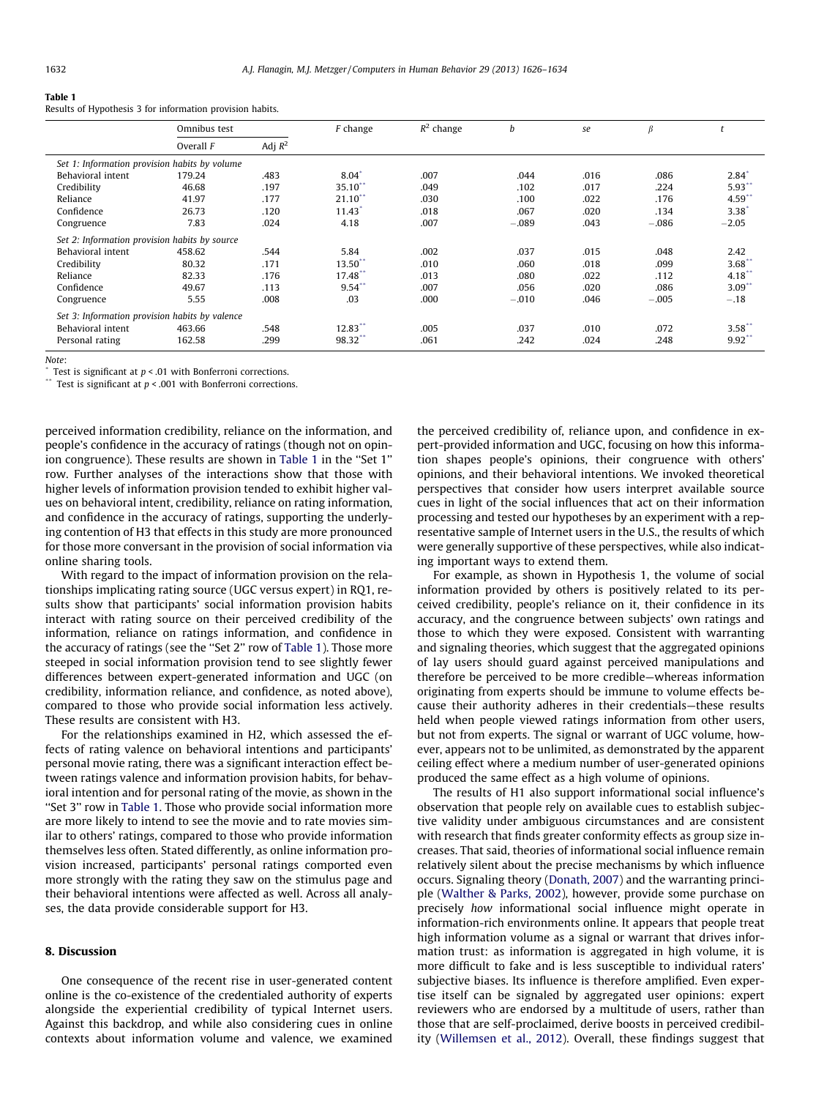#### Table 1

Results of Hypothesis 3 for information provision habits.

|                                                | Omnibus test |           | F change   | $R^2$ change | b       | se   | B       |                      |
|------------------------------------------------|--------------|-----------|------------|--------------|---------|------|---------|----------------------|
|                                                | Overall F    | Adj $R^2$ |            |              |         |      |         |                      |
| Set 1: Information provision habits by volume  |              |           |            |              |         |      |         |                      |
| Behavioral intent                              | 179.24       | .483      | $8.04*$    | .007         | .044    | .016 | .086    | $2.84^{\degree}$     |
| Credibility                                    | 46.68        | .197      | $35.10$ ** | .049         | .102    | .017 | .224    | $5.93$ **            |
| Reliance                                       | 41.97        | .177      | $21.10$ ** | .030         | .100    | .022 | .176    | $4.59$ **            |
| Confidence                                     | 26.73        | .120      | 11.43'     | .018         | .067    | .020 | .134    | 3.38                 |
| Congruence                                     | 7.83         | .024      | 4.18       | .007         | $-.089$ | .043 | $-.086$ | $-2.05$              |
| Set 2: Information provision habits by source  |              |           |            |              |         |      |         |                      |
| Behavioral intent                              | 458.62       | .544      | 5.84       | .002         | .037    | .015 | .048    | 2.42                 |
| Credibility                                    | 80.32        | .171      | 13.50**    | .010         | .060    | .018 | .099    | 3.68                 |
| Reliance                                       | 82.33        | .176      | $17.48$ ** | .013         | .080    | .022 | .112    | $4.18$ <sup>**</sup> |
| Confidence                                     | 49.67        | .113      | $9.54$ **  | .007         | .056    | .020 | .086    | $3.09$ **            |
| Congruence                                     | 5.55         | .008      | .03        | .000         | $-.010$ | .046 | $-.005$ | $-.18$               |
| Set 3: Information provision habits by valence |              |           |            |              |         |      |         |                      |
| Behavioral intent                              | 463.66       | .548      | $12.83$ ** | .005         | .037    | .010 | .072    | $3.58$ **            |
| Personal rating                                | 162.58       | .299      | 98.32**    | .061         | .242    | .024 | .248    | $9.92$ **            |

Note:

Test is significant at  $p < .01$  with Bonferroni corrections.

\*\* Test is significant at  $p < .001$  with Bonferroni corrections.

perceived information credibility, reliance on the information, and people's confidence in the accuracy of ratings (though not on opinion congruence). These results are shown in Table 1 in the ''Set 1'' row. Further analyses of the interactions show that those with higher levels of information provision tended to exhibit higher values on behavioral intent, credibility, reliance on rating information, and confidence in the accuracy of ratings, supporting the underlying contention of H3 that effects in this study are more pronounced for those more conversant in the provision of social information via online sharing tools.

With regard to the impact of information provision on the relationships implicating rating source (UGC versus expert) in RQ1, results show that participants' social information provision habits interact with rating source on their perceived credibility of the information, reliance on ratings information, and confidence in the accuracy of ratings (see the ''Set 2'' row of Table 1). Those more steeped in social information provision tend to see slightly fewer differences between expert-generated information and UGC (on credibility, information reliance, and confidence, as noted above), compared to those who provide social information less actively. These results are consistent with H3.

For the relationships examined in H2, which assessed the effects of rating valence on behavioral intentions and participants' personal movie rating, there was a significant interaction effect between ratings valence and information provision habits, for behavioral intention and for personal rating of the movie, as shown in the ''Set 3'' row in Table 1. Those who provide social information more are more likely to intend to see the movie and to rate movies similar to others' ratings, compared to those who provide information themselves less often. Stated differently, as online information provision increased, participants' personal ratings comported even more strongly with the rating they saw on the stimulus page and their behavioral intentions were affected as well. Across all analyses, the data provide considerable support for H3.

#### 8. Discussion

One consequence of the recent rise in user-generated content online is the co-existence of the credentialed authority of experts alongside the experiential credibility of typical Internet users. Against this backdrop, and while also considering cues in online contexts about information volume and valence, we examined the perceived credibility of, reliance upon, and confidence in expert-provided information and UGC, focusing on how this information shapes people's opinions, their congruence with others' opinions, and their behavioral intentions. We invoked theoretical perspectives that consider how users interpret available source cues in light of the social influences that act on their information processing and tested our hypotheses by an experiment with a representative sample of Internet users in the U.S., the results of which were generally supportive of these perspectives, while also indicating important ways to extend them.

For example, as shown in Hypothesis 1, the volume of social information provided by others is positively related to its perceived credibility, people's reliance on it, their confidence in its accuracy, and the congruence between subjects' own ratings and those to which they were exposed. Consistent with warranting and signaling theories, which suggest that the aggregated opinions of lay users should guard against perceived manipulations and therefore be perceived to be more credible—whereas information originating from experts should be immune to volume effects because their authority adheres in their credentials—these results held when people viewed ratings information from other users, but not from experts. The signal or warrant of UGC volume, however, appears not to be unlimited, as demonstrated by the apparent ceiling effect where a medium number of user-generated opinions produced the same effect as a high volume of opinions.

The results of H1 also support informational social influence's observation that people rely on available cues to establish subjective validity under ambiguous circumstances and are consistent with research that finds greater conformity effects as group size increases. That said, theories of informational social influence remain relatively silent about the precise mechanisms by which influence occurs. Signaling theory ([Donath, 2007\)](#page-8-0) and the warranting principle [\(Walther & Parks, 2002\)](#page-8-0), however, provide some purchase on precisely how informational social influence might operate in information-rich environments online. It appears that people treat high information volume as a signal or warrant that drives information trust: as information is aggregated in high volume, it is more difficult to fake and is less susceptible to individual raters' subjective biases. Its influence is therefore amplified. Even expertise itself can be signaled by aggregated user opinions: expert reviewers who are endorsed by a multitude of users, rather than those that are self-proclaimed, derive boosts in perceived credibility [\(Willemsen et al., 2012\)](#page-8-0). Overall, these findings suggest that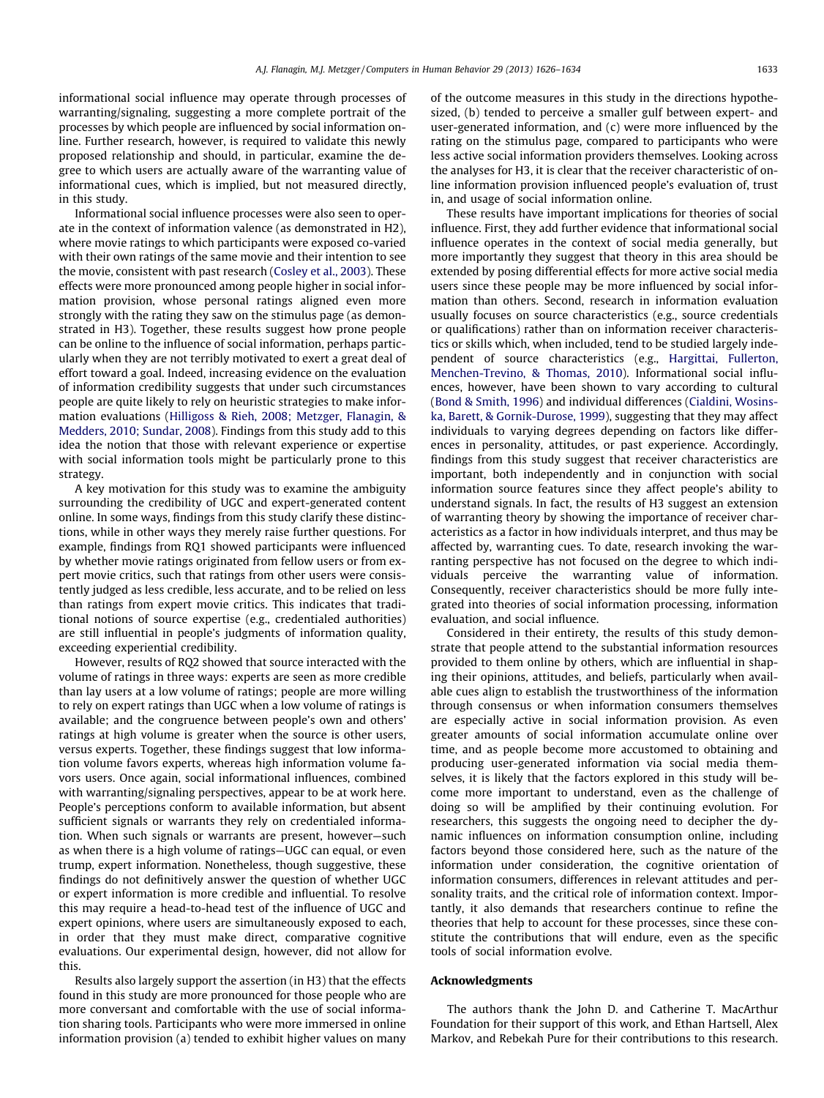informational social influence may operate through processes of warranting/signaling, suggesting a more complete portrait of the processes by which people are influenced by social information online. Further research, however, is required to validate this newly proposed relationship and should, in particular, examine the degree to which users are actually aware of the warranting value of informational cues, which is implied, but not measured directly, in this study.

Informational social influence processes were also seen to operate in the context of information valence (as demonstrated in H2), where movie ratings to which participants were exposed co-varied with their own ratings of the same movie and their intention to see the movie, consistent with past research [\(Cosley et al., 2003](#page-8-0)). These effects were more pronounced among people higher in social information provision, whose personal ratings aligned even more strongly with the rating they saw on the stimulus page (as demonstrated in H3). Together, these results suggest how prone people can be online to the influence of social information, perhaps particularly when they are not terribly motivated to exert a great deal of effort toward a goal. Indeed, increasing evidence on the evaluation of information credibility suggests that under such circumstances people are quite likely to rely on heuristic strategies to make information evaluations ([Hilligoss & Rieh, 2008; Metzger, Flanagin, &](#page-8-0) [Medders, 2010; Sundar, 2008\)](#page-8-0). Findings from this study add to this idea the notion that those with relevant experience or expertise with social information tools might be particularly prone to this strategy.

A key motivation for this study was to examine the ambiguity surrounding the credibility of UGC and expert-generated content online. In some ways, findings from this study clarify these distinctions, while in other ways they merely raise further questions. For example, findings from RQ1 showed participants were influenced by whether movie ratings originated from fellow users or from expert movie critics, such that ratings from other users were consistently judged as less credible, less accurate, and to be relied on less than ratings from expert movie critics. This indicates that traditional notions of source expertise (e.g., credentialed authorities) are still influential in people's judgments of information quality, exceeding experiential credibility.

However, results of RQ2 showed that source interacted with the volume of ratings in three ways: experts are seen as more credible than lay users at a low volume of ratings; people are more willing to rely on expert ratings than UGC when a low volume of ratings is available; and the congruence between people's own and others' ratings at high volume is greater when the source is other users, versus experts. Together, these findings suggest that low information volume favors experts, whereas high information volume favors users. Once again, social informational influences, combined with warranting/signaling perspectives, appear to be at work here. People's perceptions conform to available information, but absent sufficient signals or warrants they rely on credentialed information. When such signals or warrants are present, however—such as when there is a high volume of ratings—UGC can equal, or even trump, expert information. Nonetheless, though suggestive, these findings do not definitively answer the question of whether UGC or expert information is more credible and influential. To resolve this may require a head-to-head test of the influence of UGC and expert opinions, where users are simultaneously exposed to each, in order that they must make direct, comparative cognitive evaluations. Our experimental design, however, did not allow for this.

Results also largely support the assertion (in H3) that the effects found in this study are more pronounced for those people who are more conversant and comfortable with the use of social information sharing tools. Participants who were more immersed in online information provision (a) tended to exhibit higher values on many of the outcome measures in this study in the directions hypothesized, (b) tended to perceive a smaller gulf between expert- and user-generated information, and (c) were more influenced by the rating on the stimulus page, compared to participants who were less active social information providers themselves. Looking across the analyses for H3, it is clear that the receiver characteristic of online information provision influenced people's evaluation of, trust in, and usage of social information online.

These results have important implications for theories of social influence. First, they add further evidence that informational social influence operates in the context of social media generally, but more importantly they suggest that theory in this area should be extended by posing differential effects for more active social media users since these people may be more influenced by social information than others. Second, research in information evaluation usually focuses on source characteristics (e.g., source credentials or qualifications) rather than on information receiver characteristics or skills which, when included, tend to be studied largely independent of source characteristics (e.g., [Hargittai, Fullerton,](#page-8-0) [Menchen-Trevino, & Thomas, 2010](#page-8-0)). Informational social influences, however, have been shown to vary according to cultural ([Bond & Smith, 1996\)](#page-8-0) and individual differences [\(Cialdini, Wosins](#page-8-0)[ka, Barett, & Gornik-Durose, 1999\)](#page-8-0), suggesting that they may affect individuals to varying degrees depending on factors like differences in personality, attitudes, or past experience. Accordingly, findings from this study suggest that receiver characteristics are important, both independently and in conjunction with social information source features since they affect people's ability to understand signals. In fact, the results of H3 suggest an extension of warranting theory by showing the importance of receiver characteristics as a factor in how individuals interpret, and thus may be affected by, warranting cues. To date, research invoking the warranting perspective has not focused on the degree to which individuals perceive the warranting value of information. Consequently, receiver characteristics should be more fully integrated into theories of social information processing, information evaluation, and social influence.

Considered in their entirety, the results of this study demonstrate that people attend to the substantial information resources provided to them online by others, which are influential in shaping their opinions, attitudes, and beliefs, particularly when available cues align to establish the trustworthiness of the information through consensus or when information consumers themselves are especially active in social information provision. As even greater amounts of social information accumulate online over time, and as people become more accustomed to obtaining and producing user-generated information via social media themselves, it is likely that the factors explored in this study will become more important to understand, even as the challenge of doing so will be amplified by their continuing evolution. For researchers, this suggests the ongoing need to decipher the dynamic influences on information consumption online, including factors beyond those considered here, such as the nature of the information under consideration, the cognitive orientation of information consumers, differences in relevant attitudes and personality traits, and the critical role of information context. Importantly, it also demands that researchers continue to refine the theories that help to account for these processes, since these constitute the contributions that will endure, even as the specific tools of social information evolve.

#### Acknowledgments

The authors thank the John D. and Catherine T. MacArthur Foundation for their support of this work, and Ethan Hartsell, Alex Markov, and Rebekah Pure for their contributions to this research.